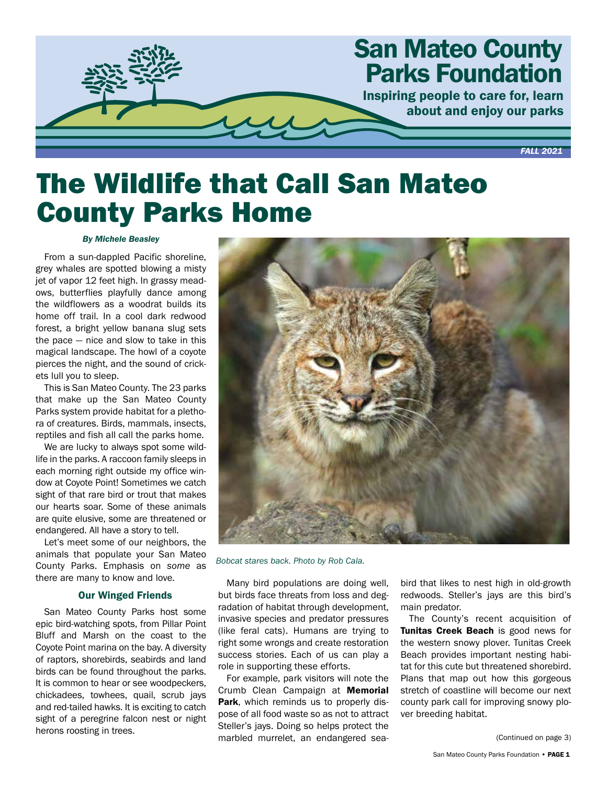

# The Wildlife that Call San Mateo County Parks Home

### *By Michele Beasley*

From a sun-dappled Pacific shoreline, grey whales are spotted blowing a misty jet of vapor 12 feet high. In grassy meadows, butterflies playfully dance among the wildflowers as a woodrat builds its home off trail. In a cool dark redwood forest, a bright yellow banana slug sets the pace — nice and slow to take in this magical landscape. The howl of a coyote pierces the night, and the sound of crickets lull you to sleep.

This is San Mateo County. The 23 parks that make up the San Mateo County Parks system provide habitat for a plethora of creatures. Birds, mammals, insects, reptiles and fish all call the parks home.

We are lucky to always spot some wildlife in the parks. A raccoon family sleeps in each morning right outside my office window at Coyote Point! Sometimes we catch sight of that rare bird or trout that makes our hearts soar. Some of these animals are quite elusive, some are threatened or endangered. All have a story to tell.

Let's meet some of our neighbors, the animals that populate your San Mateo County Parks. Emphasis on *some* as there are many to know and love.

# Our Winged Friends

San Mateo County Parks host some epic bird-watching spots, from Pillar Point Bluff and Marsh on the coast to the Coyote Point marina on the bay. A diversity of raptors, shorebirds, seabirds and land birds can be found throughout the parks. It is common to hear or see woodpeckers, chickadees, towhees, quail, scrub jays and red-tailed hawks. It is exciting to catch sight of a peregrine falcon nest or night herons roosting in trees.



*Bobcat stares back. Photo by Rob Cala.*

Many bird populations are doing well, but birds face threats from loss and degradation of habitat through development, invasive species and predator pressures (like feral cats). Humans are trying to right some wrongs and create restoration success stories. Each of us can play a role in supporting these efforts.

For example, park visitors will note the Crumb Clean Campaign at **Memorial** Park, which reminds us to properly dispose of all food waste so as not to attract Steller's jays. Doing so helps protect the marbled murrelet, an endangered seabird that likes to nest high in old-growth redwoods. Steller's jays are this bird's main predator.

The County's recent acquisition of Tunitas Creek Beach is good news for the western snowy plover. Tunitas Creek Beach provides important nesting habitat for this cute but threatened shorebird. Plans that map out how this gorgeous stretch of coastline will become our next county park call for improving snowy plover breeding habitat.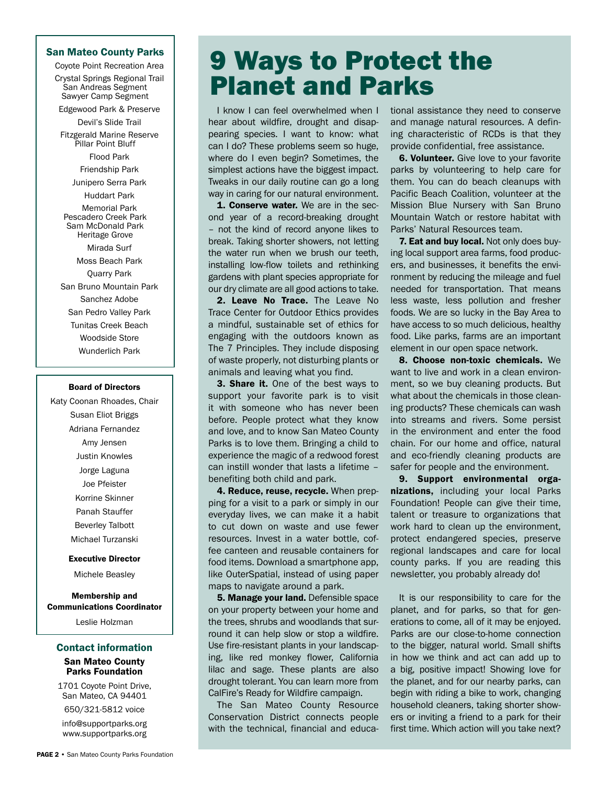### San Mateo County Parks

Coyote Point Recreation Area

Crystal Springs Regional Trail San Andreas Segment Sawyer Camp Segment

Edgewood Park & Preserve Devil's Slide Trail

Fitzgerald Marine Reserve Pillar Point Bluff

Flood Park

Friendship Park

Junipero Serra Park

Huddart Park Memorial Park Pescadero Creek Park

Sam McDonald Park Heritage Grove

Mirada Surf Moss Beach Park Quarry Park San Bruno Mountain Park Sanchez Adobe San Pedro Valley Park Tunitas Creek Beach Woodside Store Wunderlich Park

### Board of Directors

Katy Coonan Rhoades, Chair Susan Eliot Briggs Adriana Fernandez Amy Jensen Justin Knowles Jorge Laguna Joe Pfeister Korrine Skinner Panah Stauffer Beverley Talbott Michael Turzanski

#### Executive Director

Michele Beasley

Membership and Communications Coordinator

Leslie Holzman

# Contact information San Mateo County

# Parks Foundation

1701 Coyote Point Drive, San Mateo, CA 94401

650/321-5812 voice info@supportparks.org www.supportparks.org

# 9 Ways to Protect the Planet and Parks

I know I can feel overwhelmed when I hear about wildfire, drought and disappearing species. I want to know: what can I do? These problems seem so huge, where do I even begin? Sometimes, the simplest actions have the biggest impact. Tweaks in our daily routine can go a long way in caring for our natural environment.

1. Conserve water. We are in the second year of a record-breaking drought – not the kind of record anyone likes to break. Taking shorter showers, not letting the water run when we brush our teeth, installing low-flow toilets and rethinking gardens with plant species appropriate for our dry climate are all good actions to take.

2. Leave No Trace. The Leave No Trace Center for Outdoor Ethics provides a mindful, sustainable set of ethics for engaging with the outdoors known as The 7 Principles. They include disposing of waste properly, not disturbing plants or animals and leaving what you find.

**3. Share it.** One of the best ways to support your favorite park is to visit it with someone who has never been before. People protect what they know and love, and to know San Mateo County Parks is to love them. Bringing a child to experience the magic of a redwood forest can instill wonder that lasts a lifetime – benefiting both child and park.

4. Reduce, reuse, recycle. When prepping for a visit to a park or simply in our everyday lives, we can make it a habit to cut down on waste and use fewer resources. Invest in a water bottle, coffee canteen and reusable containers for food items. Download a smartphone app, like OuterSpatial, instead of using paper maps to navigate around a park.

**5. Manage your land.** Defensible space on your property between your home and the trees, shrubs and woodlands that surround it can help slow or stop a wildfire. Use fire-resistant plants in your landscaping, like red monkey flower, California lilac and sage. These plants are also drought tolerant. You can learn more from CalFire's Ready for Wildfire campaign.

The San Mateo County Resource Conservation District connects people with the technical, financial and educational assistance they need to conserve and manage natural resources. A defining characteristic of RCDs is that they provide confidential, free assistance.

**6. Volunteer.** Give love to your favorite parks by volunteering to help care for them. You can do beach cleanups with Pacific Beach Coalition, volunteer at the Mission Blue Nursery with San Bruno Mountain Watch or restore habitat with Parks' Natural Resources team.

7. Eat and buy local. Not only does buying local support area farms, food producers, and businesses, it benefits the environment by reducing the mileage and fuel needed for transportation. That means less waste, less pollution and fresher foods. We are so lucky in the Bay Area to have access to so much delicious, healthy food. Like parks, farms are an important element in our open space network.

8. Choose non-toxic chemicals. We want to live and work in a clean environment, so we buy cleaning products. But what about the chemicals in those cleaning products? These chemicals can wash into streams and rivers. Some persist in the environment and enter the food chain. For our home and office, natural and eco-friendly cleaning products are safer for people and the environment.

9. Support environmental organizations, including your local Parks Foundation! People can give their time, talent or treasure to organizations that work hard to clean up the environment, protect endangered species, preserve regional landscapes and care for local county parks. If you are reading this newsletter, you probably already do!

It is our responsibility to care for the planet, and for parks, so that for generations to come, all of it may be enjoyed. Parks are our close-to-home connection to the bigger, natural world. Small shifts in how we think and act can add up to a big, positive impact! Showing love for the planet, and for our nearby parks, can begin with riding a bike to work, changing household cleaners, taking shorter showers or inviting a friend to a park for their first time. Which action will you take next?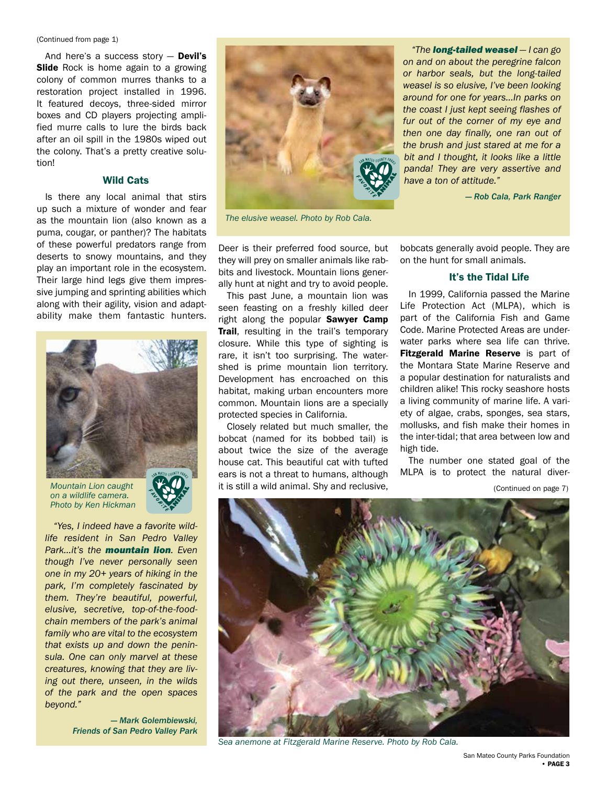#### (Continued from page 1)

And here's a success story  $-$  Devil's **Slide** Rock is home again to a growing colony of common murres thanks to a restoration project installed in 1996. It featured decoys, three-sided mirror boxes and CD players projecting amplified murre calls to lure the birds back after an oil spill in the 1980s wiped out the colony. That's a pretty creative solution!

# Wild Cats

Is there any local animal that stirs up such a mixture of wonder and fear as the mountain lion (also known as a puma, cougar, or panther)? The habitats of these powerful predators range from deserts to snowy mountains, and they play an important role in the ecosystem. Their large hind legs give them impressive jumping and sprinting abilities which along with their agility, vision and adaptability make them fantastic hunters.



*Mountain Lion caught on a wildlife camera. Photo by Ken Hickman*



*"Yes, I indeed have a favorite wildlife resident in San Pedro Valley Park…it's the mountain lion. Even though I've never personally seen one in my 20+ years of hiking in the park, I'm completely fascinated by them. They're beautiful, powerful, elusive, secretive, top-of-the-foodchain members of the park's animal family who are vital to the ecosystem that exists up and down the peninsula. One can only marvel at these creatures, knowing that they are living out there, unseen, in the wilds of the park and the open spaces beyond."*

> *— Mark Golembiewski, Friends of San Pedro Valley Park*



*The elusive weasel. Photo by Rob Cala.*

*"The long-tailed weasel — I can go on and on about the peregrine falcon or harbor seals, but the long-tailed weasel is so elusive, I've been looking around for one for years…In parks on the coast I just kept seeing flashes of fur out of the corner of my eye and then one day finally, one ran out of the brush and just stared at me for a bit and I thought, it looks like a little panda! They are very assertive and have a ton of attitude."*

*— Rob Cala, Park Ranger*

Deer is their preferred food source, but they will prey on smaller animals like rabbits and livestock. Mountain lions generally hunt at night and try to avoid people.

This past June, a mountain lion was seen feasting on a freshly killed deer right along the popular **Sawyer Camp** Trail, resulting in the trail's temporary closure. While this type of sighting is rare, it isn't too surprising. The watershed is prime mountain lion territory. Development has encroached on this habitat, making urban encounters more common. Mountain lions are a specially protected species in California.

Closely related but much smaller, the bobcat (named for its bobbed tail) is about twice the size of the average house cat. This beautiful cat with tufted ears is not a threat to humans, although it is still a wild animal. Shy and reclusive,

bobcats generally avoid people. They are on the hunt for small animals.

# It's the Tidal Life

In 1999, California passed the Marine Life Protection Act (MLPA), which is part of the California Fish and Game Code. Marine Protected Areas are underwater parks where sea life can thrive. Fitzgerald Marine Reserve is part of the Montara State Marine Reserve and a popular destination for naturalists and children alike! This rocky seashore hosts a living community of marine life. A variety of algae, crabs, sponges, sea stars, mollusks, and fish make their homes in the inter-tidal; that area between low and high tide.

The number one stated goal of the MLPA is to protect the natural diver-

(Continued on page 7)



*Sea anemone at Fitzgerald Marine Reserve. Photo by Rob Cala.*

San Mateo County Parks Foundation • PAGE 3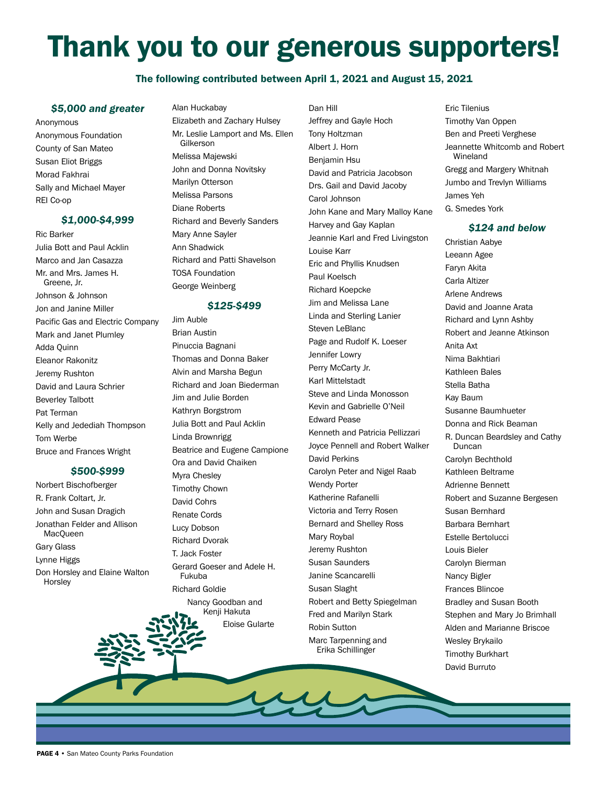# Thank you to our generous supporters!

# The following contributed between April 1, 2021 and August 15, 2021

Dan Hill

# *\$5,000 and greater*

Anonymous Anonymous Foundation County of San Mateo Susan Eliot Briggs Morad Fakhrai Sally and Michael Mayer REI Co-op

# *\$1,000-\$4,999*

Ric Barker Julia Bott and Paul Acklin Marco and Jan Casazza Mr. and Mrs. James H. Greene, Jr. Johnson & Johnson Jon and Janine Miller Pacific Gas and Electric Company Mark and Janet Plumley Adda Quinn Eleanor Rakonitz Jeremy Rushton David and Laura Schrier Beverley Talbott Pat Terman Kelly and Jedediah Thompson Tom Werbe Bruce and Frances Wright

# *\$500-\$999*

Norbert Bischofberger R. Frank Coltart, Jr. John and Susan Dragich Jonathan Felder and Allison **MacQueen** Gary Glass Lynne Higgs Don Horsley and Elaine Walton **Horsley** 

# Alan Huckabay

Elizabeth and Zachary Hulsey Mr. Leslie Lamport and Ms. Ellen Gilkerson Melissa Majewski John and Donna Novitsky Marilyn Otterson Melissa Parsons Diane Roberts Richard and Beverly Sanders Mary Anne Sayler Ann Shadwick Richard and Patti Shavelson TOSA Foundation George Weinberg

# *\$125-\$499*

Jim Auble Brian Austin Pinuccia Bagnani Thomas and Donna Baker Alvin and Marsha Begun Richard and Joan Biederman Jim and Julie Borden Kathryn Borgstrom Julia Bott and Paul Acklin Linda Brownrigg Beatrice and Eugene Campione Ora and David Chaiken Myra Chesley Timothy Chown David Cohrs Renate Cords Lucy Dobson Richard Dvorak T. Jack Foster Gerard Goeser and Adele H. Fukuba Richard Goldie Nancy Goodban and Kenji Hakuta

Eloise Gularte

Jeffrey and Gayle Hoch Tony Holtzman Albert J. Horn Benjamin Hsu David and Patricia Jacobson Drs. Gail and David Jacoby Carol Johnson John Kane and Mary Malloy Kane Harvey and Gay Kaplan Jeannie Karl and Fred Livingston Louise Karr Eric and Phyllis Knudsen Paul Koelsch Richard Koepcke Jim and Melissa Lane Linda and Sterling Lanier Steven LeBlanc Page and Rudolf K. Loeser Jennifer Lowry Perry McCarty Jr. Karl Mittelstadt Steve and Linda Monosson Kevin and Gabrielle O'Neil Edward Pease Kenneth and Patricia Pellizzari Joyce Pennell and Robert Walker David Perkins Carolyn Peter and Nigel Raab Wendy Porter Katherine Rafanelli Victoria and Terry Rosen Bernard and Shelley Ross Mary Roybal Jeremy Rushton Susan Saunders Janine Scancarelli Susan Slaght Robert and Betty Spiegelman Fred and Marilyn Stark Robin Sutton Marc Tarpenning and Erika Schillinger

Eric Tilenius Timothy Van Oppen Ben and Preeti Verghese Jeannette Whitcomb and Robert Wineland Gregg and Margery Whitnah Jumbo and Trevlyn Williams James Yeh G. Smedes York

# *\$124 and below*

Christian Aabye Leeann Agee Faryn Akita Carla Altizer Arlene Andrews David and Joanne Arata Richard and Lynn Ashby Robert and Jeanne Atkinson Anita Axt Nima Bakhtiari Kathleen Bales Stella Batha Kay Baum Susanne Baumhueter Donna and Rick Beaman R. Duncan Beardsley and Cathy Duncan Carolyn Bechthold Kathleen Beltrame Adrienne Bennett Robert and Suzanne Bergesen Susan Bernhard Barbara Bernhart Estelle Bertolucci Louis Bieler Carolyn Bierman Nancy Bigler Frances Blincoe Bradley and Susan Booth Stephen and Mary Jo Brimhall Alden and Marianne Briscoe Wesley Brykailo Timothy Burkhart David Burruto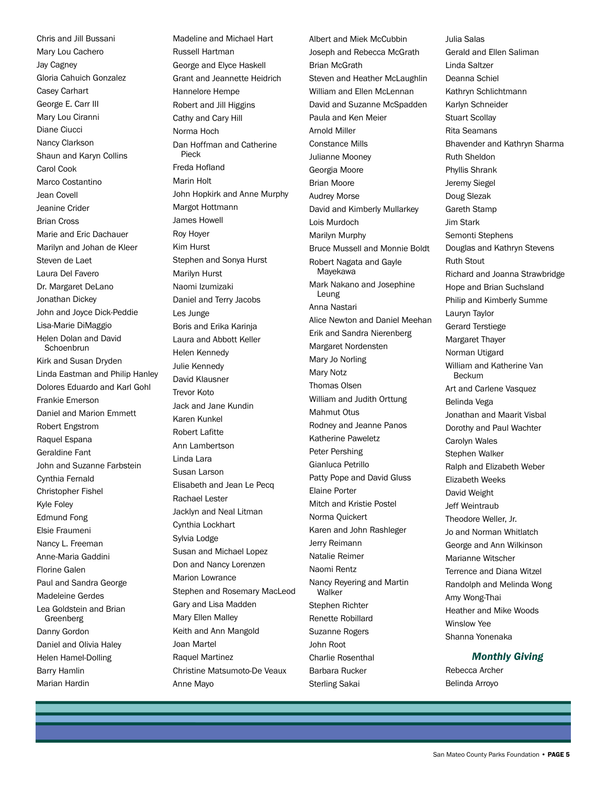Chris and Jill Bussani Mary Lou Cachero Jay Cagney Gloria Cahuich Gonzalez Casey Carhart George E. Carr III Mary Lou Ciranni Diane Ciucci Nancy Clarkson Shaun and Karyn Collins Carol Cook Marco Costantino Jean Covell Jeanine Crider Brian Cross Marie and Eric Dachauer Marilyn and Johan de Kleer Steven de Laet Laura Del Favero Dr. Margaret DeLano Jonathan Dickey John and Joyce Dick-Peddie Lisa-Marie DiMaggio Helen Dolan and David Schoenbrun Kirk and Susan Dryden Linda Eastman and Philip Hanley Dolores Eduardo and Karl Gohl Frankie Emerson Daniel and Marion Emmett Robert Engstrom Raquel Espana Geraldine Fant John and Suzanne Farbstein Cynthia Fernald Christopher Fishel Kyle Foley Edmund Fong Elsie Fraumeni Nancy L. Freeman Anne-Maria Gaddini Florine Galen Paul and Sandra George Madeleine Gerdes Lea Goldstein and Brian Greenberg Danny Gordon Daniel and Olivia Haley Helen Hamel-Dolling Barry Hamlin Marian Hardin

Madeline and Michael Hart Russell Hartman George and Elyce Haskell Grant and Jeannette Heidrich Hannelore Hempe Robert and Jill Higgins Cathy and Cary Hill Norma Hoch Dan Hoffman and Catherine Pieck Freda Hofland Marin Holt John Hopkirk and Anne Murphy Margot Hottmann James Howell Roy Hoyer Kim Hurst Stephen and Sonya Hurst Marilyn Hurst Naomi Izumizaki Daniel and Terry Jacobs Les Junge Boris and Erika Karinja Laura and Abbott Keller Helen Kennedy Julie Kennedy David Klausner Trevor Koto Jack and Jane Kundin Karen Kunkel Robert Lafitte Ann Lambertson Linda Lara Susan Larson Elisabeth and Jean Le Pecq Rachael Lester Jacklyn and Neal Litman Cynthia Lockhart Sylvia Lodge Susan and Michael Lopez Don and Nancy Lorenzen Marion Lowrance Stephen and Rosemary MacLeod Gary and Lisa Madden Mary Ellen Malley Keith and Ann Mangold Joan Martel Raquel Martinez Christine Matsumoto-De Veaux Anne Mayo

Albert and Miek McCubbin Joseph and Rebecca McGrath Brian McGrath Steven and Heather McLaughlin William and Ellen McLennan David and Suzanne McSpadden Paula and Ken Meier Arnold Miller Constance Mills Julianne Mooney Georgia Moore Brian Moore Audrey Morse David and Kimberly Mullarkey Lois Murdoch Marilyn Murphy Bruce Mussell and Monnie Boldt Robert Nagata and Gayle Mayekawa Mark Nakano and Josephine Leung Anna Nastari Alice Newton and Daniel Meehan Erik and Sandra Nierenberg Margaret Nordensten Mary Jo Norling Mary Notz Thomas Olsen William and Judith Orttung Mahmut Otus Rodney and Jeanne Panos Katherine Paweletz Peter Pershing Gianluca Petrillo Patty Pope and David Gluss Elaine Porter Mitch and Kristie Postel Norma Quickert Karen and John Rashleger Jerry Reimann Natalie Reimer Naomi Rentz Nancy Reyering and Martin Walker Stephen Richter Renette Robillard Suzanne Rogers John Root Charlie Rosenthal Barbara Rucker Sterling Sakai

Julia Salas Gerald and Ellen Saliman Linda Saltzer Deanna Schiel Kathryn Schlichtmann Karlyn Schneider Stuart Scollay Rita Seamans Bhavender and Kathryn Sharma Ruth Sheldon Phyllis Shrank Jeremy Siegel Doug Slezak Gareth Stamp Jim Stark Semonti Stephens Douglas and Kathryn Stevens Ruth Stout Richard and Joanna Strawbridge Hope and Brian Suchsland Philip and Kimberly Summe Lauryn Taylor Gerard Terstiege Margaret Thayer Norman Utigard William and Katherine Van Beckum Art and Carlene Vasquez Belinda Vega Jonathan and Maarit Visbal Dorothy and Paul Wachter Carolyn Wales Stephen Walker Ralph and Elizabeth Weber Elizabeth Weeks David Weight Jeff Weintraub Theodore Weller, Jr. Jo and Norman Whitlatch George and Ann Wilkinson Marianne Witscher Terrence and Diana Witzel Randolph and Melinda Wong Amy Wong-Thai Heather and Mike Woods Winslow Yee Shanna Yonenaka

## *Monthly Giving*

Rebecca Archer Belinda Arroyo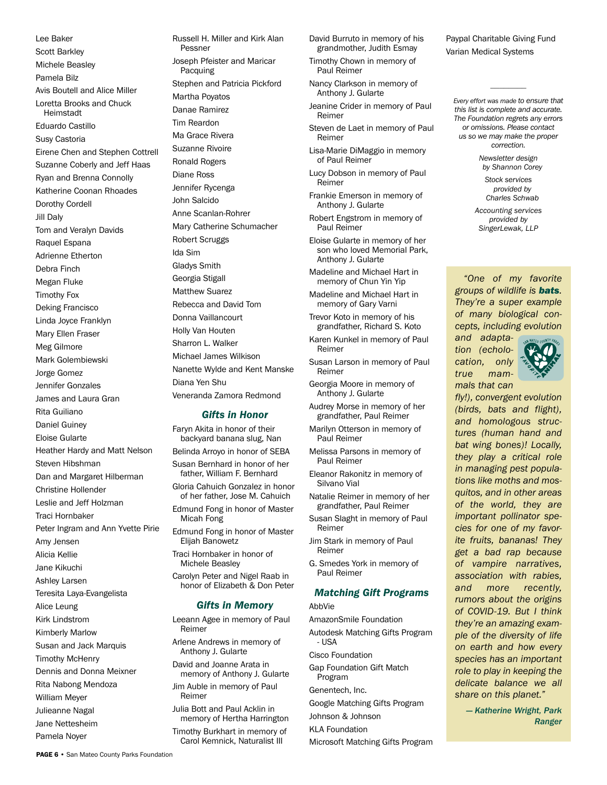Lee Baker Scott Barkley Michele Beasley Pamela Bilz Avis Boutell and Alice Miller Loretta Brooks and Chuck Heimstadt Eduardo Castillo Susy Castoria Eirene Chen and Stephen Cottrell Suzanne Coberly and Jeff Haas Ryan and Brenna Connolly Katherine Coonan Rhoades Dorothy Cordell Jill Daly Tom and Veralyn Davids Raquel Espana Adrienne Etherton Debra Finch Megan Fluke Timothy Fox Deking Francisco Linda Joyce Franklyn Mary Ellen Fraser Meg Gilmore Mark Golembiewski Jorge Gomez Jennifer Gonzales James and Laura Gran Rita Guiliano Daniel Guiney Eloise Gularte Heather Hardy and Matt Nelson Steven Hibshman Dan and Margaret Hilberman Christine Hollender Leslie and Jeff Holzman Traci Hornbaker Peter Ingram and Ann Yvette Pirie Amy Jensen Alicia Kellie Jane Kikuchi Ashley Larsen Teresita Laya-Evangelista Alice Leung Kirk Lindstrom Kimberly Marlow Susan and Jack Marquis Timothy McHenry Dennis and Donna Meixner Rita Nabong Mendoza William Meyer Julieanne Nagal Jane Nettesheim Pamela Noyer

Russell H. Miller and Kirk Alan Pessner Joseph Pfeister and Maricar Pacquing Stephen and Patricia Pickford Martha Poyatos Danae Ramirez Tim Reardon Ma Grace Rivera Suzanne Rivoire Ronald Rogers Diane Ross Jennifer Rycenga John Salcido Anne Scanlan-Rohrer Mary Catherine Schumacher Robert Scruggs Ida Sim Gladys Smith Georgia Stigall Matthew Suarez Rebecca and David Tom Donna Vaillancourt Holly Van Houten Sharron L. Walker Michael James Wilkison Nanette Wylde and Kent Manske Diana Yen Shu Veneranda Zamora Redmond *Gifts in Honor* Faryn Akita in honor of their backyard banana slug, Nan

Belinda Arroyo in honor of SEBA Susan Bernhard in honor of her father, William F. Bernhard Gloria Cahuich Gonzalez in honor of her father, Jose M. Cahuich Edmund Fong in honor of Master Micah Fong Edmund Fong in honor of Master Elijah Banowetz Traci Hornbaker in honor of Michele Beasley Carolyn Peter and Nigel Raab in honor of Elizabeth & Don Peter *Gifts in Memory* Leeann Agee in memory of Paul Reimer Arlene Andrews in memory of Anthony J. Gularte David and Joanne Arata in memory of Anthony J. Gularte Jim Auble in memory of Paul Reimer

Julia Bott and Paul Acklin in memory of Hertha Harrington Timothy Burkhart in memory of Carol Kemnick, Naturalist III

David Burruto in memory of his grandmother, Judith Esmay

Timothy Chown in memory of Paul Reimer

Nancy Clarkson in memory of Anthony J. Gularte

Jeanine Crider in memory of Paul Reimer

Steven de Laet in memory of Paul Reimer

Lisa-Marie DiMaggio in memory of Paul Reimer

Lucy Dobson in memory of Paul Reimer

Frankie Emerson in memory of Anthony J. Gularte

Robert Engstrom in memory of Paul Reimer

Eloise Gularte in memory of her son who loved Memorial Park, Anthony J. Gularte

Madeline and Michael Hart in memory of Chun Yin Yip

Madeline and Michael Hart in memory of Gary Varni

Trevor Koto in memory of his grandfather, Richard S. Koto

Karen Kunkel in memory of Paul Reimer

Susan Larson in memory of Paul Reimer

Georgia Moore in memory of Anthony J. Gularte

Audrey Morse in memory of her grandfather, Paul Reimer

Marilyn Otterson in memory of Paul Reimer

Melissa Parsons in memory of Paul Reimer

Eleanor Rakonitz in memory of Silvano Vial

Natalie Reimer in memory of her grandfather, Paul Reimer

Susan Slaght in memory of Paul Reimer

Jim Stark in memory of Paul Reimer

G. Smedes York in memory of Paul Reimer

# *Matching Gift Programs*

AbbVie

AmazonSmile Foundation Autodesk Matching Gifts Program - USA Cisco Foundation Gap Foundation Gift Match Program Genentech, Inc. Google Matching Gifts Program Johnson & Johnson KLA Foundation

Microsoft Matching Gifts Program

Paypal Charitable Giving Fund Varian Medical Systems

*Every effort was made to ensure that this list is complete and accurate. The Foundation regrets any errors or omissions. Please contact us so we may make the proper correction.*

*————————*

*Newsletter design by Shannon Corey*

*Stock services provided by Charles Schwab*

*Accounting services provided by SingerLewak, LLP*

*"One of my favorite groups of wildlife is bats. They're a super example of many biological concepts, including evolution* 



*fly!), convergent evolution (birds, bats and flight), and homologous structures (human hand and bat wing bones)! Locally, they play a critical role in managing pest populations like moths and mosquitos, and in other areas of the world, they are important pollinator species for one of my favorite fruits, bananas! They get a bad rap because of vampire narratives, association with rabies, and more recently, rumors about the origins of COVID-19. But I think they're an amazing example of the diversity of life on earth and how every species has an important role to play in keeping the delicate balance we all share on this planet."*

> *— Katherine Wright, Park Ranger*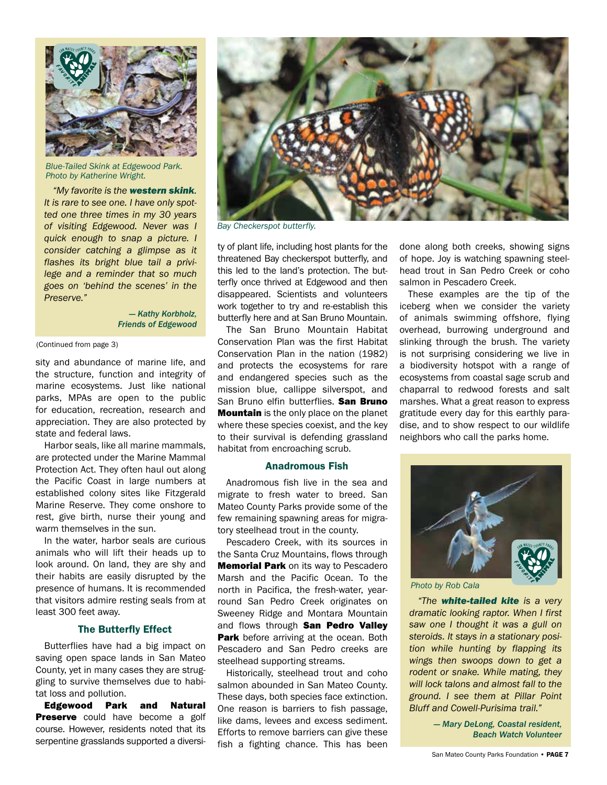

*Blue-Tailed Skink at Edgewood Park. Photo by Katherine Wright.*

*"My favorite is the western skink. It is rare to see one. I have only spotted one three times in my 30 years of visiting Edgewood. Never was I quick enough to snap a picture. I consider catching a glimpse as it flashes its bright blue tail a privilege and a reminder that so much goes on 'behind the scenes' in the Preserve."*

> *— Kathy Korbholz, Friends of Edgewood*

(Continued from page 3)

sity and abundance of marine life, and the structure, function and integrity of marine ecosystems. Just like national parks, MPAs are open to the public for education, recreation, research and appreciation. They are also protected by state and federal laws.

Harbor seals, like all marine mammals, are protected under the Marine Mammal Protection Act. They often haul out along the Pacific Coast in large numbers at established colony sites like Fitzgerald Marine Reserve. They come onshore to rest, give birth, nurse their young and warm themselves in the sun.

In the water, harbor seals are curious animals who will lift their heads up to look around. On land, they are shy and their habits are easily disrupted by the presence of humans. It is recommended that visitors admire resting seals from at least 300 feet away.

# The Butterfly Effect

Butterflies have had a big impact on saving open space lands in San Mateo County, yet in many cases they are struggling to survive themselves due to habitat loss and pollution.

Edgewood Park and Natural **Preserve** could have become a golf course. However, residents noted that its serpentine grasslands supported a diversi-



*Bay Checkerspot butterfly.* 

ty of plant life, including host plants for the threatened Bay checkerspot butterfly, and this led to the land's protection. The butterfly once thrived at Edgewood and then disappeared. Scientists and volunteers work together to try and re-establish this butterfly here and at San Bruno Mountain.

The San Bruno Mountain Habitat Conservation Plan was the first Habitat Conservation Plan in the nation (1982) and protects the ecosystems for rare and endangered species such as the mission blue, callippe silverspot, and San Bruno elfin butterflies. San Bruno **Mountain** is the only place on the planet where these species coexist, and the key to their survival is defending grassland habitat from encroaching scrub.

# Anadromous Fish

Anadromous fish live in the sea and migrate to fresh water to breed. San Mateo County Parks provide some of the few remaining spawning areas for migratory steelhead trout in the county.

Pescadero Creek, with its sources in the Santa Cruz Mountains, flows through **Memorial Park on its way to Pescadero** Marsh and the Pacific Ocean. To the north in Pacifica, the fresh-water, yearround San Pedro Creek originates on Sweeney Ridge and Montara Mountain and flows through San Pedro Valley Park before arriving at the ocean. Both Pescadero and San Pedro creeks are steelhead supporting streams.

Historically, steelhead trout and coho salmon abounded in San Mateo County. These days, both species face extinction. One reason is barriers to fish passage, like dams, levees and excess sediment. Efforts to remove barriers can give these fish a fighting chance. This has been

done along both creeks, showing signs of hope. Joy is watching spawning steelhead trout in San Pedro Creek or coho salmon in Pescadero Creek.

These examples are the tip of the iceberg when we consider the variety of animals swimming offshore, flying overhead, burrowing underground and slinking through the brush. The variety is not surprising considering we live in a biodiversity hotspot with a range of ecosystems from coastal sage scrub and chaparral to redwood forests and salt marshes. What a great reason to express gratitude every day for this earthly paradise, and to show respect to our wildlife neighbors who call the parks home.



*Photo by Rob Cala*

*"The white-tailed kite is a very dramatic looking raptor. When I first saw one I thought it was a gull on steroids. It stays in a stationary position while hunting by flapping its wings then swoops down to get a rodent or snake. While mating, they will lock talons and almost fall to the ground. I see them at Pillar Point Bluff and Cowell-Purisima trail."*

> *— Mary DeLong, Coastal resident, Beach Watch Volunteer*